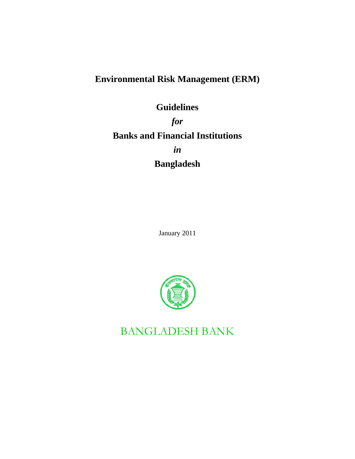# **Environmental Risk Management (ERM)**

# **Guidelines**

*for*  **Banks and Financial Institutions**  *in* 

**Bangladesh**

January 2011



BANGLADESH BANK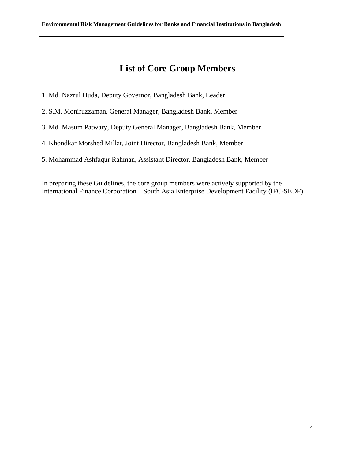# **List of Core Group Members**

- 1. Md. Nazrul Huda, Deputy Governor, Bangladesh Bank, Leader
- 2. S.M. Moniruzzaman, General Manager, Bangladesh Bank, Member
- 3. Md. Masum Patwary, Deputy General Manager, Bangladesh Bank, Member
- 4. Khondkar Morshed Millat, Joint Director, Bangladesh Bank, Member
- 5. Mohammad Ashfaqur Rahman, Assistant Director, Bangladesh Bank, Member

In preparing these Guidelines, the core group members were actively supported by the International Finance Corporation – South Asia Enterprise Development Facility (IFC-SEDF).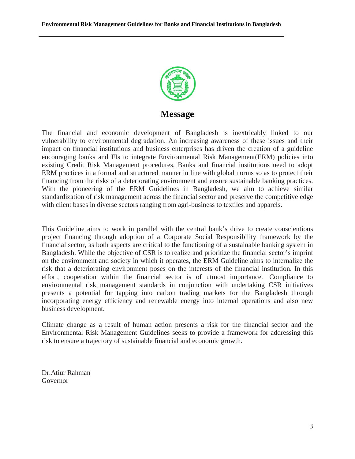

## **Message**

The financial and economic development of Bangladesh is inextricably linked to our vulnerability to environmental degradation. An increasing awareness of these issues and their impact on financial institutions and business enterprises has driven the creation of a guideline encouraging banks and FIs to integrate Environmental Risk Management(ERM) policies into existing Credit Risk Management procedures. Banks and financial institutions need to adopt ERM practices in a formal and structured manner in line with global norms so as to protect their financing from the risks of a deteriorating environment and ensure sustainable banking practices. With the pioneering of the ERM Guidelines in Bangladesh, we aim to achieve similar standardization of risk management across the financial sector and preserve the competitive edge with client bases in diverse sectors ranging from agri-business to textiles and apparels.

This Guideline aims to work in parallel with the central bank's drive to create conscientious project financing through adoption of a Corporate Social Responsibility framework by the financial sector, as both aspects are critical to the functioning of a sustainable banking system in Bangladesh. While the objective of CSR is to realize and prioritize the financial sector's imprint on the environment and society in which it operates, the ERM Guideline aims to internalize the risk that a deteriorating environment poses on the interests of the financial institution. In this effort, cooperation within the financial sector is of utmost importance. Compliance to environmental risk management standards in conjunction with undertaking CSR initiatives presents a potential for tapping into carbon trading markets for the Bangladesh through incorporating energy efficiency and renewable energy into internal operations and also new business development.

Climate change as a result of human action presents a risk for the financial sector and the Environmental Risk Management Guidelines seeks to provide a framework for addressing this risk to ensure a trajectory of sustainable financial and economic growth.

Dr.Atiur Rahman Governor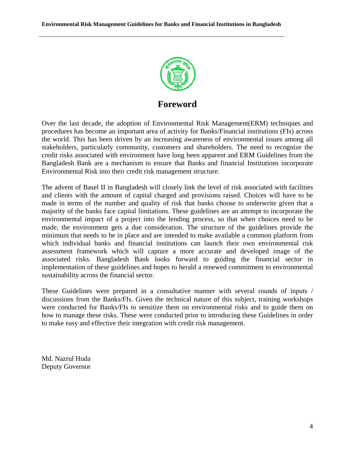

**Foreword** 

Over the last decade, the adoption of Environmental Risk Management(ERM) techniques and procedures has become an important area of activity for Banks/Financial institutions (FIs) across the world. This has been driven by an increasing awareness of environmental issues among all stakeholders, particularly community, customers and shareholders. The need to recognize the credit risks associated with environment have long been apparent and ERM Guidelines from the Bangladesh Bank are a mechanism to ensure that Banks and financial Institutions incorporate Environmental Risk into their credit risk management structure.

The advent of Basel II in Bangladesh will closely link the level of risk associated with facilities and clients with the amount of capital charged and provisions raised. Choices will have to be made in terms of the number and quality of risk that banks choose to underwrite given that a majority of the banks face capital limitations. These guidelines are an attempt to incorporate the environmental impact of a project into the lending process, so that when choices need to be made, the environment gets a due consideration. The structure of the guidelines provide the minimum that needs to be in place and are intended to make available a common platform from which individual banks and financial institutions can launch their own environmental risk assessment framework which will capture a more accurate and developed image of the associated risks. Bangladesh Bank looks forward to guiding the financial sector in implementation of these guidelines and hopes to herald a renewed commitment to environmental sustainability across the financial sector.

These Guidelines were prepared in a consultative manner with several rounds of inputs / discussions from the Banks/FIs. Given the technical nature of this subject, training workshops were conducted for Banks/FIs to sensitize them on environmental risks and to guide them on how to manage these risks. These were conducted prior to introducing these Guidelines in order to make easy and effective their integration with credit risk management.

Md. Nazrul Huda Deputy Governor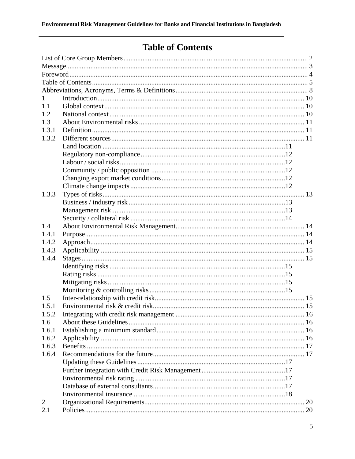# **Table of Contents**

| $\mathbf{1}$   |  |
|----------------|--|
| 1.1            |  |
| 1.2            |  |
| 1.3            |  |
| 1.3.1          |  |
| 1.3.2          |  |
|                |  |
|                |  |
|                |  |
|                |  |
|                |  |
|                |  |
| 1.3.3          |  |
|                |  |
|                |  |
|                |  |
| 1.4            |  |
| 1.4.1          |  |
| 1.4.2          |  |
| 1.4.3          |  |
| 1.4.4          |  |
|                |  |
|                |  |
|                |  |
|                |  |
| 1.5            |  |
| 1.5.1          |  |
| 1.5.2          |  |
| 1.6            |  |
| 1.6.1          |  |
| 1.6.2          |  |
| 1.6.3          |  |
| 1.6.4          |  |
|                |  |
|                |  |
|                |  |
|                |  |
|                |  |
| $\overline{2}$ |  |
| 2.1            |  |
|                |  |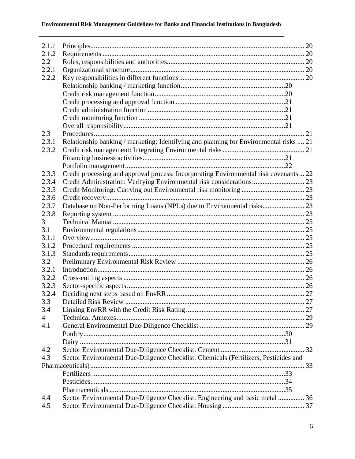## Environmental Risk Management Guidelines for Banks and Financial Institutions in Bangladesh

| 2.1.1          |                                                                                        |  |
|----------------|----------------------------------------------------------------------------------------|--|
| 2.1.2          |                                                                                        |  |
| 2.2            |                                                                                        |  |
| 2.2.1          |                                                                                        |  |
| 2.2.2          |                                                                                        |  |
|                |                                                                                        |  |
|                |                                                                                        |  |
|                |                                                                                        |  |
|                |                                                                                        |  |
|                |                                                                                        |  |
|                |                                                                                        |  |
|                |                                                                                        |  |
| 2.3            |                                                                                        |  |
| 2.3.1          | Relationship banking / marketing: Identifying and planning for Environmental risks  21 |  |
| 2.3.2          |                                                                                        |  |
|                |                                                                                        |  |
|                |                                                                                        |  |
| 2.3.3          | Credit processing and approval process: Incorporating Environmental risk covenants 22  |  |
| 2.3.4          | Credit Administration: Verifying Environmental risk considerations 23                  |  |
| 2.3.5          |                                                                                        |  |
| 2.3.6          |                                                                                        |  |
| 2.3.7          |                                                                                        |  |
| 2.3.8          |                                                                                        |  |
| 3              |                                                                                        |  |
| 3.1            |                                                                                        |  |
| 3.1.1          |                                                                                        |  |
| 3.1.2          |                                                                                        |  |
| 3.1.3          |                                                                                        |  |
| 3.2            |                                                                                        |  |
| 3.2.1          |                                                                                        |  |
| 3.2.2          |                                                                                        |  |
| 3.2.3          |                                                                                        |  |
| 3.2.4          |                                                                                        |  |
| 3.3            |                                                                                        |  |
| 3.4            |                                                                                        |  |
| $\overline{4}$ |                                                                                        |  |
| 4.1            |                                                                                        |  |
|                |                                                                                        |  |
|                |                                                                                        |  |
| 4.2            |                                                                                        |  |
| 4.3            | Sector Environmental Due-Diligence Checklist: Chemicals (Fertilizers, Pesticides and   |  |
|                |                                                                                        |  |
|                |                                                                                        |  |
|                |                                                                                        |  |
|                |                                                                                        |  |
| 4.4            | Sector Environmental Due-Diligence Checklist: Engineering and basic metal  36          |  |
| 4.5            |                                                                                        |  |
|                |                                                                                        |  |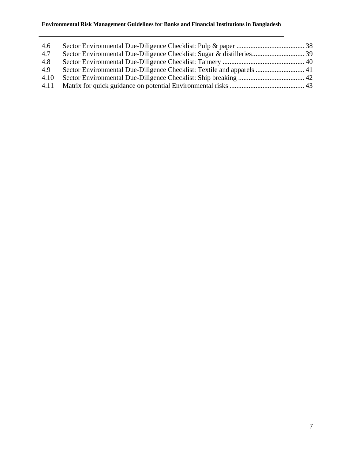| 4.6  |                                                                        |  |
|------|------------------------------------------------------------------------|--|
| 4.7  |                                                                        |  |
| 4.8  |                                                                        |  |
| 4.9  | Sector Environmental Due-Diligence Checklist: Textile and apparels  41 |  |
| 4.10 |                                                                        |  |
|      |                                                                        |  |
|      |                                                                        |  |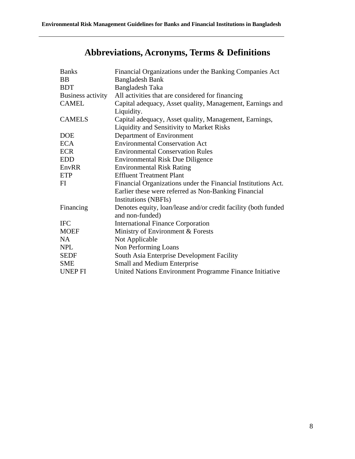# **Abbreviations, Acronyms, Terms & Definitions**

| <b>Banks</b>      | Financial Organizations under the Banking Companies Act        |
|-------------------|----------------------------------------------------------------|
| <b>BB</b>         | <b>Bangladesh Bank</b>                                         |
| <b>BDT</b>        | Bangladesh Taka                                                |
| Business activity | All activities that are considered for financing               |
| <b>CAMEL</b>      | Capital adequacy, Asset quality, Management, Earnings and      |
|                   | Liquidity.                                                     |
| <b>CAMELS</b>     | Capital adequacy, Asset quality, Management, Earnings,         |
|                   | <b>Liquidity and Sensitivity to Market Risks</b>               |
| <b>DOE</b>        | Department of Environment                                      |
| <b>ECA</b>        | <b>Environmental Conservation Act</b>                          |
| <b>ECR</b>        | <b>Environmental Conservation Rules</b>                        |
| <b>EDD</b>        | <b>Environmental Risk Due Diligence</b>                        |
| EnvRR             | <b>Environmental Risk Rating</b>                               |
| ETP               | <b>Effluent Treatment Plant</b>                                |
| FI                | Financial Organizations under the Financial Institutions Act.  |
|                   | Earlier these were referred as Non-Banking Financial           |
|                   | <b>Institutions (NBFIs)</b>                                    |
| Financing         | Denotes equity, loan/lease and/or credit facility (both funded |
|                   | and non-funded)                                                |
| <b>IFC</b>        | <b>International Finance Corporation</b>                       |
| <b>MOEF</b>       | Ministry of Environment & Forests                              |
| <b>NA</b>         | Not Applicable                                                 |
| <b>NPL</b>        | Non Performing Loans                                           |
| <b>SEDF</b>       | South Asia Enterprise Development Facility                     |
| <b>SME</b>        | Small and Medium Enterprise                                    |
| <b>UNEP FI</b>    | United Nations Environment Programme Finance Initiative        |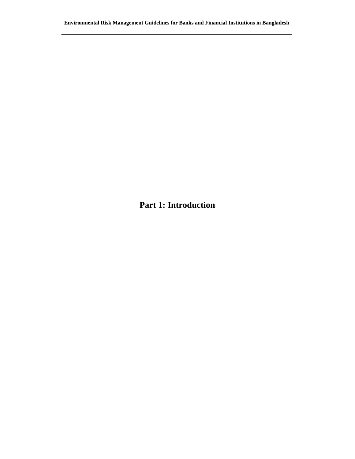**Part 1: Introduction**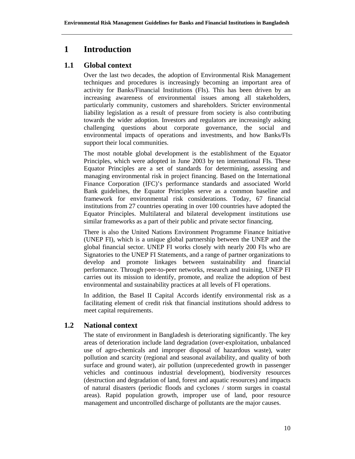# **1 Introduction**

## **1.1 Global context**

Over the last two decades, the adoption of Environmental Risk Management techniques and procedures is increasingly becoming an important area of activity for Banks/Financial Institutions (FIs). This has been driven by an increasing awareness of environmental issues among all stakeholders, particularly community, customers and shareholders. Stricter environmental liability legislation as a result of pressure from society is also contributing towards the wider adoption. Investors and regulators are increasingly asking challenging questions about corporate governance, the social and environmental impacts of operations and investments, and how Banks/FIs support their local communities.

The most notable global development is the establishment of the Equator Principles, which were adopted in June 2003 by ten international FIs. These Equator Principles are a set of standards for determining, assessing and managing environmental risk in project financing. Based on the International Finance Corporation (IFC)'s performance standards and associated World Bank guidelines, the Equator Principles serve as a common baseline and framework for environmental risk considerations. Today, 67 financial institutions from 27 countries operating in over 100 countries have adopted the Equator Principles. Multilateral and bilateral development institutions use similar frameworks as a part of their public and private sector financing.

There is also the United Nations Environment Programme Finance Initiative (UNEP FI), which is a unique global partnership between the UNEP and the global financial sector. UNEP FI works closely with nearly 200 FIs who are Signatories to the UNEP FI Statements, and a range of partner organizations to develop and promote linkages between sustainability and financial performance. Through peer-to-peer networks, research and training, UNEP FI carries out its mission to identify, promote, and realize the adoption of best environmental and sustainability practices at all levels of FI operations.

In addition, the Basel II Capital Accords identify environmental risk as a facilitating element of credit risk that financial institutions should address to meet capital requirements.

## **1.2 National context**

The state of environment in Bangladesh is deteriorating significantly. The key areas of deterioration include land degradation (over-exploitation, unbalanced use of agro-chemicals and improper disposal of hazardous waste), water pollution and scarcity (regional and seasonal availability, and quality of both surface and ground water), air pollution (unprecedented growth in passenger vehicles and continuous industrial development), biodiversity resources (destruction and degradation of land, forest and aquatic resources) and impacts of natural disasters (periodic floods and cyclones / storm surges in coastal areas). Rapid population growth, improper use of land, poor resource management and uncontrolled discharge of pollutants are the major causes.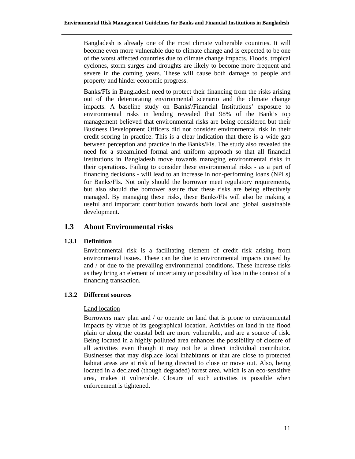Bangladesh is already one of the most climate vulnerable countries. It will become even more vulnerable due to climate change and is expected to be one of the worst affected countries due to climate change impacts. Floods, tropical cyclones, storm surges and droughts are likely to become more frequent and severe in the coming years. These will cause both damage to people and property and hinder economic progress.

Banks/FIs in Bangladesh need to protect their financing from the risks arising out of the deteriorating environmental scenario and the climate change impacts. A baseline study on Banks'/Financial Institutions' exposure to environmental risks in lending revealed that 98% of the Bank's top management believed that environmental risks are being considered but their Business Development Officers did not consider environmental risk in their credit scoring in practice. This is a clear indication that there is a wide gap between perception and practice in the Banks/FIs. The study also revealed the need for a streamlined formal and uniform approach so that all financial institutions in Bangladesh move towards managing environmental risks in their operations. Failing to consider these environmental risks - as a part of financing decisions - will lead to an increase in non-performing loans (NPLs) for Banks/FIs. Not only should the borrower meet regulatory requirements, but also should the borrower assure that these risks are being effectively managed. By managing these risks, these Banks/FIs will also be making a useful and important contribution towards both local and global sustainable development.

## **1.3 About Environmental risks**

## **1.3.1 Definition**

Environmental risk is a facilitating element of credit risk arising from environmental issues. These can be due to environmental impacts caused by and / or due to the prevailing environmental conditions. These increase risks as they bring an element of uncertainty or possibility of loss in the context of a financing transaction.

## **1.3.2 Different sources**

## Land location

Borrowers may plan and / or operate on land that is prone to environmental impacts by virtue of its geographical location. Activities on land in the flood plain or along the coastal belt are more vulnerable, and are a source of risk. Being located in a highly polluted area enhances the possibility of closure of all activities even though it may not be a direct individual contributor. Businesses that may displace local inhabitants or that are close to protected habitat areas are at risk of being directed to close or move out. Also, being located in a declared (though degraded) forest area, which is an eco-sensitive area, makes it vulnerable. Closure of such activities is possible when enforcement is tightened.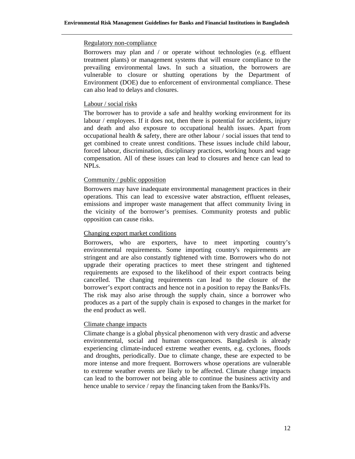#### Regulatory non-compliance

Borrowers may plan and / or operate without technologies (e.g. effluent treatment plants) or management systems that will ensure compliance to the prevailing environmental laws. In such a situation, the borrowers are vulnerable to closure or shutting operations by the Department of Environment (DOE) due to enforcement of environmental compliance. These can also lead to delays and closures.

## Labour / social risks

The borrower has to provide a safe and healthy working environment for its labour / employees. If it does not, then there is potential for accidents, injury and death and also exposure to occupational health issues. Apart from occupational health  $\&$  safety, there are other labour / social issues that tend to get combined to create unrest conditions. These issues include child labour, forced labour, discrimination, disciplinary practices, working hours and wage compensation. All of these issues can lead to closures and hence can lead to NPLs.

## Community / public opposition

Borrowers may have inadequate environmental management practices in their operations. This can lead to excessive water abstraction, effluent releases, emissions and improper waste management that affect community living in the vicinity of the borrower's premises. Community protests and public opposition can cause risks.

## Changing export market conditions

Borrowers, who are exporters, have to meet importing country's environmental requirements. Some importing country's requirements are stringent and are also constantly tightened with time. Borrowers who do not upgrade their operating practices to meet these stringent and tightened requirements are exposed to the likelihood of their export contracts being cancelled. The changing requirements can lead to the closure of the borrower's export contracts and hence not in a position to repay the Banks/FIs. The risk may also arise through the supply chain, since a borrower who produces as a part of the supply chain is exposed to changes in the market for the end product as well.

## Climate change impacts

Climate change is a global physical phenomenon with very drastic and adverse environmental, social and human consequences. Bangladesh is already experiencing climate-induced extreme weather events, e.g. cyclones, floods and droughts, periodically. Due to climate change, these are expected to be more intense and more frequent. Borrowers whose operations are vulnerable to extreme weather events are likely to be affected. Climate change impacts can lead to the borrower not being able to continue the business activity and hence unable to service / repay the financing taken from the Banks/FIs.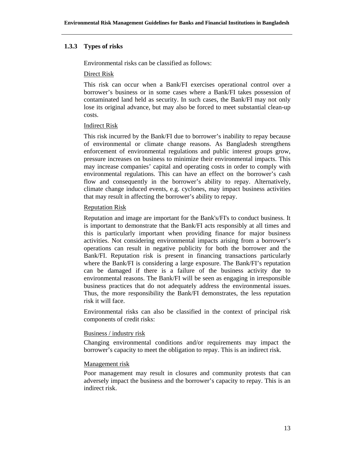## **1.3.3 Types of risks**

Environmental risks can be classified as follows:

#### Direct Risk

This risk can occur when a Bank/FI exercises operational control over a borrower's business or in some cases where a Bank/FI takes possession of contaminated land held as security. In such cases, the Bank/FI may not only lose its original advance, but may also be forced to meet substantial clean-up costs.

#### Indirect Risk

This risk incurred by the Bank/FI due to borrower's inability to repay because of environmental or climate change reasons. As Bangladesh strengthens enforcement of environmental regulations and public interest groups grow, pressure increases on business to minimize their environmental impacts. This may increase companies' capital and operating costs in order to comply with environmental regulations. This can have an effect on the borrower's cash flow and consequently in the borrower's ability to repay. Alternatively, climate change induced events, e.g. cyclones, may impact business activities that may result in affecting the borrower's ability to repay.

## Reputation Risk

Reputation and image are important for the Bank's/FI's to conduct business. It is important to demonstrate that the Bank/FI acts responsibly at all times and this is particularly important when providing finance for major business activities. Not considering environmental impacts arising from a borrower's operations can result in negative publicity for both the borrower and the Bank/FI. Reputation risk is present in financing transactions particularly where the Bank/FI is considering a large exposure. The Bank/FI's reputation can be damaged if there is a failure of the business activity due to environmental reasons. The Bank/FI will be seen as engaging in irresponsible business practices that do not adequately address the environmental issues. Thus, the more responsibility the Bank/FI demonstrates, the less reputation risk it will face.

Environmental risks can also be classified in the context of principal risk components of credit risks:

## Business / industry risk

Changing environmental conditions and/or requirements may impact the borrower's capacity to meet the obligation to repay. This is an indirect risk.

#### Management risk

Poor management may result in closures and community protests that can adversely impact the business and the borrower's capacity to repay. This is an indirect risk.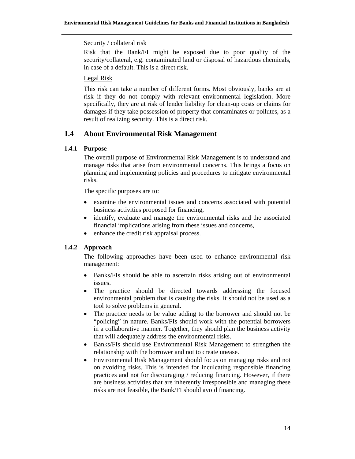## Security / collateral risk

Risk that the Bank/FI might be exposed due to poor quality of the security/collateral, e.g. contaminated land or disposal of hazardous chemicals, in case of a default. This is a direct risk.

## Legal Risk

This risk can take a number of different forms. Most obviously, banks are at risk if they do not comply with relevant environmental legislation. More specifically, they are at risk of lender liability for clean-up costs or claims for damages if they take possession of property that contaminates or pollutes, as a result of realizing security. This is a direct risk.

## **1.4 About Environmental Risk Management**

## **1.4.1 Purpose**

The overall purpose of Environmental Risk Management is to understand and manage risks that arise from environmental concerns. This brings a focus on planning and implementing policies and procedures to mitigate environmental risks.

The specific purposes are to:

- examine the environmental issues and concerns associated with potential business activities proposed for financing,
- identify, evaluate and manage the environmental risks and the associated financial implications arising from these issues and concerns,
- enhance the credit risk appraisal process.

## **1.4.2 Approach**

The following approaches have been used to enhance environmental risk management:

- Banks/FIs should be able to ascertain risks arising out of environmental issues.
- The practice should be directed towards addressing the focused environmental problem that is causing the risks. It should not be used as a tool to solve problems in general.
- The practice needs to be value adding to the borrower and should not be "policing" in nature. Banks/FIs should work with the potential borrowers in a collaborative manner. Together, they should plan the business activity that will adequately address the environmental risks.
- Banks/FIs should use Environmental Risk Management to strengthen the relationship with the borrower and not to create unease.
- Environmental Risk Management should focus on managing risks and not on avoiding risks. This is intended for inculcating responsible financing practices and not for discouraging / reducing financing. However, if there are business activities that are inherently irresponsible and managing these risks are not feasible, the Bank/FI should avoid financing.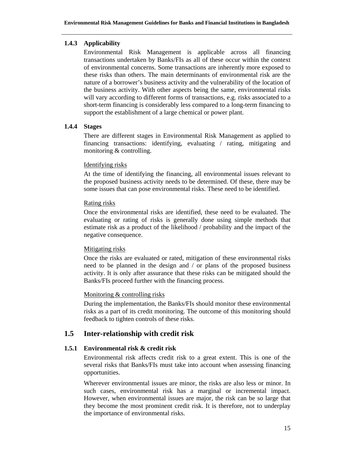## **1.4.3 Applicability**

Environmental Risk Management is applicable across all financing transactions undertaken by Banks/FIs as all of these occur within the context of environmental concerns. Some transactions are inherently more exposed to these risks than others. The main determinants of environmental risk are the nature of a borrower's business activity and the vulnerability of the location of the business activity. With other aspects being the same, environmental risks will vary according to different forms of transactions, e.g. risks associated to a short-term financing is considerably less compared to a long-term financing to support the establishment of a large chemical or power plant.

## **1.4.4 Stages**

There are different stages in Environmental Risk Management as applied to financing transactions: identifying, evaluating / rating, mitigating and monitoring & controlling.

## Identifying risks

At the time of identifying the financing, all environmental issues relevant to the proposed business activity needs to be determined. Of these, there may be some issues that can pose environmental risks. These need to be identified.

## Rating risks

Once the environmental risks are identified, these need to be evaluated. The evaluating or rating of risks is generally done using simple methods that estimate risk as a product of the likelihood / probability and the impact of the negative consequence.

## Mitigating risks

Once the risks are evaluated or rated, mitigation of these environmental risks need to be planned in the design and / or plans of the proposed business activity. It is only after assurance that these risks can be mitigated should the Banks/FIs proceed further with the financing process.

## Monitoring & controlling risks

During the implementation, the Banks/FIs should monitor these environmental risks as a part of its credit monitoring. The outcome of this monitoring should feedback to tighten controls of these risks.

## **1.5 Inter-relationship with credit risk**

## **1.5.1 Environmental risk & credit risk**

Environmental risk affects credit risk to a great extent. This is one of the several risks that Banks/FIs must take into account when assessing financing opportunities.

Wherever environmental issues are minor, the risks are also less or minor. In such cases, environmental risk has a marginal or incremental impact. However, when environmental issues are major, the risk can be so large that they become the most prominent credit risk. It is therefore, not to underplay the importance of environmental risks.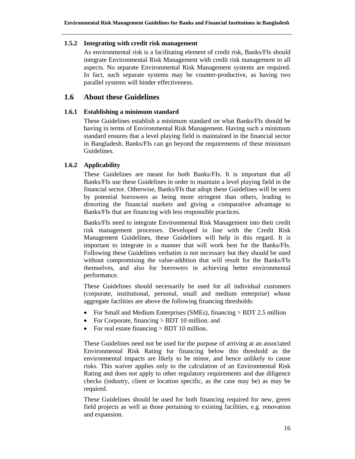## **1.5.2 Integrating with credit risk management**

As environmental risk is a facilitating element of credit risk, Banks/FIs should integrate Environmental Risk Management with credit risk management in all aspects. No separate Environmental Risk Management systems are required. In fact, such separate systems may be counter-productive, as having two parallel systems will hinder effectiveness.

## **1.6 About these Guidelines**

#### **1.6.1 Establishing a minimum standard**

These Guidelines establish a minimum standard on what Banks/FIs should be having in terms of Environmental Risk Management. Having such a minimum standard ensures that a level playing field is maintained in the financial sector in Bangladesh. Banks/FIs can go beyond the requirements of these minimum Guidelines.

## **1.6.2 Applicability**

These Guidelines are meant for both Banks/FIs. It is important that all Banks/FIs use these Guidelines in order to maintain a level playing field in the financial sector. Otherwise, Banks/FIs that adopt these Guidelines will be seen by potential borrowers as being more stringent than others, leading to distorting the financial markets and giving a comparative advantage to Banks/FIs that are financing with less responsible practices.

Banks/FIs need to integrate Environmental Risk Management into their credit risk management processes. Developed in line with the Credit Risk Management Guidelines, these Guidelines will help in this regard. It is important to integrate in a manner that will work best for the Banks/FIs. Following these Guidelines verbatim is not necessary but they should be used without compromising the value-addition that will result for the Banks/FIs themselves, and also for borrowers in achieving better environmental performance.

These Guidelines should necessarily be used for all individual customers (corporate, institutional, personal, small and medium enterprise) whose aggregate facilities are above the following financing thresholds:

- For Small and Medium Enterprises (SMEs), financing > BDT 2.5 million
- For Corporate, financing > BDT 10 million. and
- For real estate financing  $>$  BDT 10 million.

These Guidelines need not be used for the purpose of arriving at an associated Environmental Risk Rating for financing below this threshold as the environmental impacts are likely to be minor, and hence unlikely to cause risks. This waiver applies only to the calculation of an Environmental Risk Rating and does not apply to other regulatory requirements and due diligence checks (industry, client or location specific, as the case may be) as may be required.

These Guidelines should be used for both financing required for new, green field projects as well as those pertaining to existing facilities, e.g. renovation and expansion.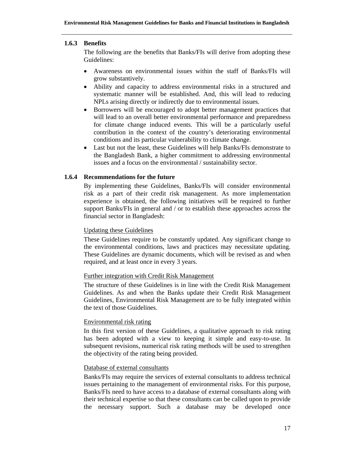#### **1.6.3 Benefits**

The following are the benefits that Banks/FIs will derive from adopting these Guidelines:

- Awareness on environmental issues within the staff of Banks/FIs will grow substantively.
- Ability and capacity to address environmental risks in a structured and systematic manner will be established. And, this will lead to reducing NPLs arising directly or indirectly due to environmental issues.
- Borrowers will be encouraged to adopt better management practices that will lead to an overall better environmental performance and preparedness for climate change induced events. This will be a particularly useful contribution in the context of the country's deteriorating environmental conditions and its particular vulnerability to climate change.
- Last but not the least, these Guidelines will help Banks/FIs demonstrate to the Bangladesh Bank, a higher commitment to addressing environmental issues and a focus on the environmental / sustainability sector.

## **1.6.4 Recommendations for the future**

By implementing these Guidelines, Banks/FIs will consider environmental risk as a part of their credit risk management. As more implementation experience is obtained, the following initiatives will be required to further support Banks/FIs in general and / or to establish these approaches across the financial sector in Bangladesh:

#### Updating these Guidelines

These Guidelines require to be constantly updated. Any significant change to the environmental conditions, laws and practices may necessitate updating. These Guidelines are dynamic documents, which will be revised as and when required, and at least once in every 3 years.

## Further integration with Credit Risk Management

The structure of these Guidelines is in line with the Credit Risk Management Guidelines. As and when the Banks update their Credit Risk Management Guidelines, Environmental Risk Management are to be fully integrated within the text of those Guidelines.

#### Environmental risk rating

In this first version of these Guidelines, a qualitative approach to risk rating has been adopted with a view to keeping it simple and easy-to-use. In subsequent revisions, numerical risk rating methods will be used to strengthen the objectivity of the rating being provided.

## Database of external consultants

Banks/FIs may require the services of external consultants to address technical issues pertaining to the management of environmental risks. For this purpose, Banks/FIs need to have access to a database of external consultants along with their technical expertise so that these consultants can be called upon to provide the necessary support. Such a database may be developed once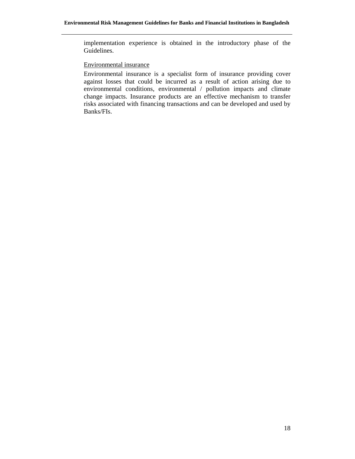implementation experience is obtained in the introductory phase of the Guidelines.

#### Environmental insurance

Environmental insurance is a specialist form of insurance providing cover against losses that could be incurred as a result of action arising due to environmental conditions, environmental / pollution impacts and climate change impacts. Insurance products are an effective mechanism to transfer risks associated with financing transactions and can be developed and used by Banks/FIs.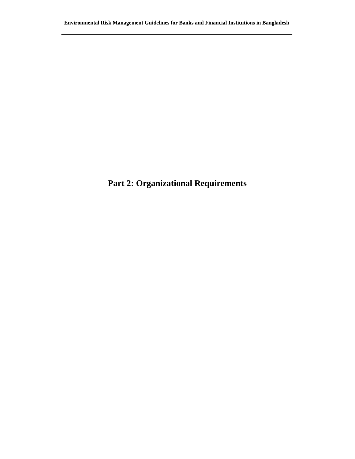# **Part 2: Organizational Requirements**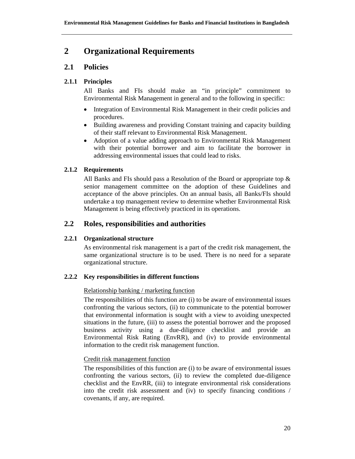## **2 Organizational Requirements**

## **2.1 Policies**

## **2.1.1 Principles**

All Banks and FIs should make an "in principle" commitment to Environmental Risk Management in general and to the following in specific:

- Integration of Environmental Risk Management in their credit policies and procedures.
- Building awareness and providing Constant training and capacity building of their staff relevant to Environmental Risk Management.
- Adoption of a value adding approach to Environmental Risk Management with their potential borrower and aim to facilitate the borrower in addressing environmental issues that could lead to risks.

## **2.1.2 Requirements**

All Banks and FIs should pass a Resolution of the Board or appropriate top  $\&$ senior management committee on the adoption of these Guidelines and acceptance of the above principles. On an annual basis, all Banks/FIs should undertake a top management review to determine whether Environmental Risk Management is being effectively practiced in its operations.

## **2.2 Roles, responsibilities and authorities**

## **2.2.1 Organizational structure**

As environmental risk management is a part of the credit risk management, the same organizational structure is to be used. There is no need for a separate organizational structure.

## **2.2.2 Key responsibilities in different functions**

## Relationship banking / marketing function

The responsibilities of this function are (i) to be aware of environmental issues confronting the various sectors, (ii) to communicate to the potential borrower that environmental information is sought with a view to avoiding unexpected situations in the future, (iii) to assess the potential borrower and the proposed business activity using a due-diligence checklist and provide an Environmental Risk Rating (EnvRR), and (iv) to provide environmental information to the credit risk management function.

## Credit risk management function

The responsibilities of this function are (i) to be aware of environmental issues confronting the various sectors, (ii) to review the completed due-diligence checklist and the EnvRR, (iii) to integrate environmental risk considerations into the credit risk assessment and (iv) to specify financing conditions / covenants, if any, are required.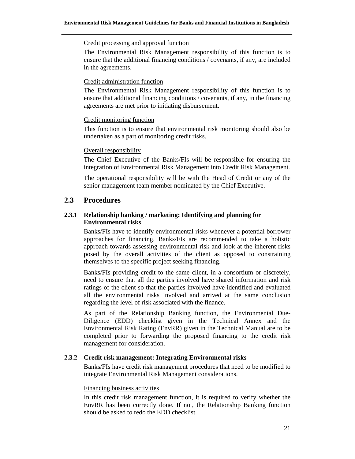#### Credit processing and approval function

The Environmental Risk Management responsibility of this function is to ensure that the additional financing conditions / covenants, if any, are included in the agreements.

#### Credit administration function

The Environmental Risk Management responsibility of this function is to ensure that additional financing conditions / covenants, if any, in the financing agreements are met prior to initiating disbursement.

#### Credit monitoring function

This function is to ensure that environmental risk monitoring should also be undertaken as a part of monitoring credit risks.

#### Overall responsibility

The Chief Executive of the Banks/FIs will be responsible for ensuring the integration of Environmental Risk Management into Credit Risk Management.

The operational responsibility will be with the Head of Credit or any of the senior management team member nominated by the Chief Executive.

## **2.3 Procedures**

## **2.3.1 Relationship banking / marketing: Identifying and planning for Environmental risks**

Banks/FIs have to identify environmental risks whenever a potential borrower approaches for financing. Banks/FIs are recommended to take a holistic approach towards assessing environmental risk and look at the inherent risks posed by the overall activities of the client as opposed to constraining themselves to the specific project seeking financing.

Banks/FIs providing credit to the same client, in a consortium or discretely, need to ensure that all the parties involved have shared information and risk ratings of the client so that the parties involved have identified and evaluated all the environmental risks involved and arrived at the same conclusion regarding the level of risk associated with the finance.

As part of the Relationship Banking function, the Environmental Due-Diligence (EDD) checklist given in the Technical Annex and the Environmental Risk Rating (EnvRR) given in the Technical Manual are to be completed prior to forwarding the proposed financing to the credit risk management for consideration.

## **2.3.2 Credit risk management: Integrating Environmental risks**

Banks/FIs have credit risk management procedures that need to be modified to integrate Environmental Risk Management considerations.

#### Financing business activities

In this credit risk management function, it is required to verify whether the EnvRR has been correctly done. If not, the Relationship Banking function should be asked to redo the EDD checklist.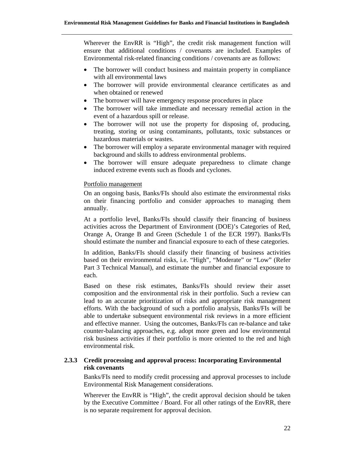Wherever the EnvRR is "High", the credit risk management function will ensure that additional conditions / covenants are included. Examples of Environmental risk-related financing conditions / covenants are as follows:

- The borrower will conduct business and maintain property in compliance with all environmental laws
- The borrower will provide environmental clearance certificates as and when obtained or renewed
- The borrower will have emergency response procedures in place
- The borrower will take immediate and necessary remedial action in the event of a hazardous spill or release.
- The borrower will not use the property for disposing of, producing, treating, storing or using contaminants, pollutants, toxic substances or hazardous materials or wastes.
- The borrower will employ a separate environmental manager with required background and skills to address environmental problems.
- The borrower will ensure adequate preparedness to climate change induced extreme events such as floods and cyclones.

#### Portfolio management

On an ongoing basis, Banks/FIs should also estimate the environmental risks on their financing portfolio and consider approaches to managing them annually.

At a portfolio level, Banks/FIs should classify their financing of business activities across the Department of Environment (DOE)'s Categories of Red, Orange A, Orange B and Green (Schedule 1 of the ECR 1997). Banks/FIs should estimate the number and financial exposure to each of these categories.

In addition, Banks/FIs should classify their financing of business activities based on their environmental risks, i.e. "High", "Moderate" or "Low" (Refer Part 3 Technical Manual), and estimate the number and financial exposure to each.

Based on these risk estimates, Banks/FIs should review their asset composition and the environmental risk in their portfolio. Such a review can lead to an accurate prioritization of risks and appropriate risk management efforts. With the background of such a portfolio analysis, Banks/FIs will be able to undertake subsequent environmental risk reviews in a more efficient and effective manner. Using the outcomes, Banks/FIs can re-balance and take counter-balancing approaches, e.g. adopt more green and low environmental risk business activities if their portfolio is more oriented to the red and high environmental risk.

## **2.3.3 Credit processing and approval process: Incorporating Environmental risk covenants**

Banks/FIs need to modify credit processing and approval processes to include Environmental Risk Management considerations.

Wherever the EnvRR is "High", the credit approval decision should be taken by the Executive Committee / Board. For all other ratings of the EnvRR, there is no separate requirement for approval decision.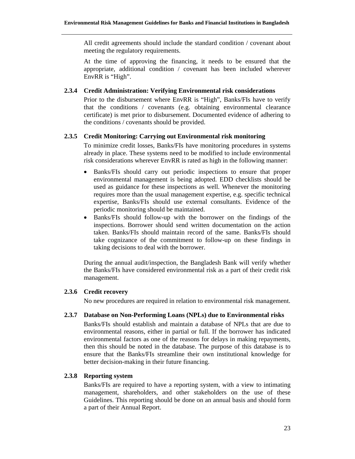All credit agreements should include the standard condition / covenant about meeting the regulatory requirements.

At the time of approving the financing, it needs to be ensured that the appropriate, additional condition / covenant has been included wherever EnvRR is "High".

#### **2.3.4 Credit Administration: Verifying Environmental risk considerations**

Prior to the disbursement where EnvRR is "High", Banks/FIs have to verify that the conditions / covenants (e.g. obtaining environmental clearance certificate) is met prior to disbursement. Documented evidence of adhering to the conditions / covenants should be provided.

#### **2.3.5 Credit Monitoring: Carrying out Environmental risk monitoring**

To minimize credit losses, Banks/FIs have monitoring procedures in systems already in place. These systems need to be modified to include environmental risk considerations wherever EnvRR is rated as high in the following manner:

- Banks/FIs should carry out periodic inspections to ensure that proper environmental management is being adopted. EDD checklists should be used as guidance for these inspections as well. Whenever the monitoring requires more than the usual management expertise, e.g. specific technical expertise, Banks/FIs should use external consultants. Evidence of the periodic monitoring should be maintained.
- Banks/FIs should follow-up with the borrower on the findings of the inspections. Borrower should send written documentation on the action taken. Banks/FIs should maintain record of the same. Banks/FIs should take cognizance of the commitment to follow-up on these findings in taking decisions to deal with the borrower.

During the annual audit/inspection, the Bangladesh Bank will verify whether the Banks/FIs have considered environmental risk as a part of their credit risk management.

## **2.3.6 Credit recovery**

No new procedures are required in relation to environmental risk management.

#### **2.3.7 Database on Non-Performing Loans (NPLs) due to Environmental risks**

Banks/FIs should establish and maintain a database of NPLs that are due to environmental reasons, either in partial or full. If the borrower has indicated environmental factors as one of the reasons for delays in making repayments, then this should be noted in the database. The purpose of this database is to ensure that the Banks/FIs streamline their own institutional knowledge for better decision-making in their future financing.

## **2.3.8 Reporting system**

Banks/FIs are required to have a reporting system, with a view to intimating management, shareholders, and other stakeholders on the use of these Guidelines. This reporting should be done on an annual basis and should form a part of their Annual Report.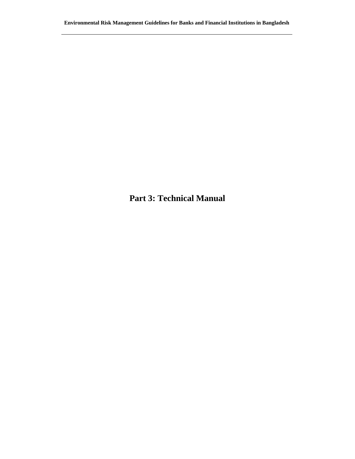**Part 3: Technical Manual**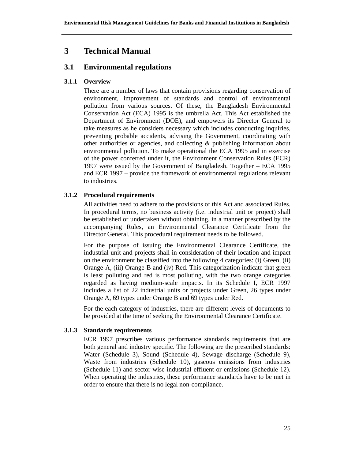## **3 Technical Manual**

## **3.1 Environmental regulations**

## **3.1.1 Overview**

There are a number of laws that contain provisions regarding conservation of environment, improvement of standards and control of environmental pollution from various sources. Of these, the Bangladesh Environmental Conservation Act (ECA) 1995 is the umbrella Act. This Act established the Department of Environment (DOE), and empowers its Director General to take measures as he considers necessary which includes conducting inquiries, preventing probable accidents, advising the Government, coordinating with other authorities or agencies, and collecting & publishing information about environmental pollution. To make operational the ECA 1995 and in exercise of the power conferred under it, the Environment Conservation Rules (ECR) 1997 were issued by the Government of Bangladesh. Together – ECA 1995 and ECR 1997 – provide the framework of environmental regulations relevant to industries.

## **3.1.2 Procedural requirements**

All activities need to adhere to the provisions of this Act and associated Rules. In procedural terms, no business activity (i.e. industrial unit or project) shall be established or undertaken without obtaining, in a manner prescribed by the accompanying Rules, an Environmental Clearance Certificate from the Director General. This procedural requirement needs to be followed.

For the purpose of issuing the Environmental Clearance Certificate, the industrial unit and projects shall in consideration of their location and impact on the environment be classified into the following 4 categories: (i) Green, (ii) Orange-A, (iii) Orange-B and (iv) Red. This categorization indicate that green is least polluting and red is most polluting, with the two orange categories regarded as having medium-scale impacts. In its Schedule I, ECR 1997 includes a list of 22 industrial units or projects under Green, 26 types under Orange A, 69 types under Orange B and 69 types under Red.

For the each category of industries, there are different levels of documents to be provided at the time of seeking the Environmental Clearance Certificate.

## **3.1.3 Standards requirements**

ECR 1997 prescribes various performance standards requirements that are both general and industry specific. The following are the prescribed standards: Water (Schedule 3), Sound (Schedule 4), Sewage discharge (Schedule 9), Waste from industries (Schedule 10), gaseous emissions from industries (Schedule 11) and sector-wise industrial effluent or emissions (Schedule 12). When operating the industries, these performance standards have to be met in order to ensure that there is no legal non-compliance.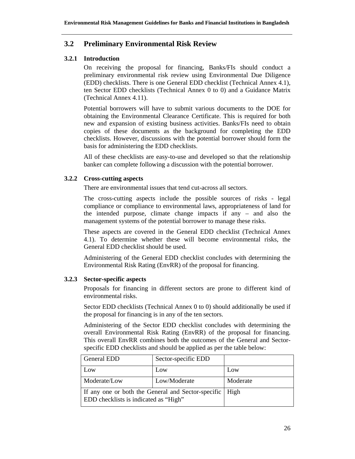## **3.2 Preliminary Environmental Risk Review**

## **3.2.1 Introduction**

On receiving the proposal for financing, Banks/FIs should conduct a preliminary environmental risk review using Environmental Due Diligence (EDD) checklists. There is one General EDD checklist (Technical Annex 4.1), ten Sector EDD checklists (Technical Annex 0 to 0) and a Guidance Matrix (Technical Annex 4.11).

Potential borrowers will have to submit various documents to the DOE for obtaining the Environmental Clearance Certificate. This is required for both new and expansion of existing business activities. Banks/FIs need to obtain copies of these documents as the background for completing the EDD checklists. However, discussions with the potential borrower should form the basis for administering the EDD checklists.

All of these checklists are easy-to-use and developed so that the relationship banker can complete following a discussion with the potential borrower.

## **3.2.2 Cross-cutting aspects**

There are environmental issues that tend cut-across all sectors.

The cross-cutting aspects include the possible sources of risks - legal compliance or compliance to environmental laws, appropriateness of land for the intended purpose, climate change impacts if any – and also the management systems of the potential borrower to manage these risks.

These aspects are covered in the General EDD checklist (Technical Annex 4.1). To determine whether these will become environmental risks, the General EDD checklist should be used.

Administering of the General EDD checklist concludes with determining the Environmental Risk Rating (EnvRR) of the proposal for financing.

## **3.2.3 Sector-specific aspects**

Proposals for financing in different sectors are prone to different kind of environmental risks.

Sector EDD checklists (Technical Annex 0 to 0) should additionally be used if the proposal for financing is in any of the ten sectors.

Administering of the Sector EDD checklist concludes with determining the overall Environmental Risk Rating (EnvRR) of the proposal for financing. This overall EnvRR combines both the outcomes of the General and Sectorspecific EDD checklists and should be applied as per the table below:

| General EDD                                                                                        | Sector-specific EDD |          |
|----------------------------------------------------------------------------------------------------|---------------------|----------|
| Low                                                                                                | Low                 | Low      |
| Moderate/Low                                                                                       | Low/Moderate        | Moderate |
| If any one or both the General and Sector-specific   High<br>EDD checklists is indicated as "High" |                     |          |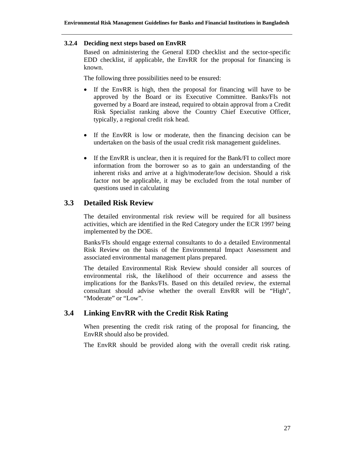#### **3.2.4 Deciding next steps based on EnvRR**

Based on administering the General EDD checklist and the sector-specific EDD checklist, if applicable, the EnvRR for the proposal for financing is known.

The following three possibilities need to be ensured:

- If the EnvRR is high, then the proposal for financing will have to be approved by the Board or its Executive Committee. Banks/FIs not governed by a Board are instead, required to obtain approval from a Credit Risk Specialist ranking above the Country Chief Executive Officer, typically, a regional credit risk head.
- If the EnvRR is low or moderate, then the financing decision can be undertaken on the basis of the usual credit risk management guidelines.
- If the EnvRR is unclear, then it is required for the Bank/FI to collect more information from the borrower so as to gain an understanding of the inherent risks and arrive at a high/moderate/low decision. Should a risk factor not be applicable, it may be excluded from the total number of questions used in calculating

## **3.3 Detailed Risk Review**

The detailed environmental risk review will be required for all business activities, which are identified in the Red Category under the ECR 1997 being implemented by the DOE.

Banks/FIs should engage external consultants to do a detailed Environmental Risk Review on the basis of the Environmental Impact Assessment and associated environmental management plans prepared.

The detailed Environmental Risk Review should consider all sources of environmental risk, the likelihood of their occurrence and assess the implications for the Banks/FIs. Based on this detailed review, the external consultant should advise whether the overall EnvRR will be "High", "Moderate" or "Low".

## **3.4 Linking EnvRR with the Credit Risk Rating**

When presenting the credit risk rating of the proposal for financing, the EnvRR should also be provided.

The EnvRR should be provided along with the overall credit risk rating.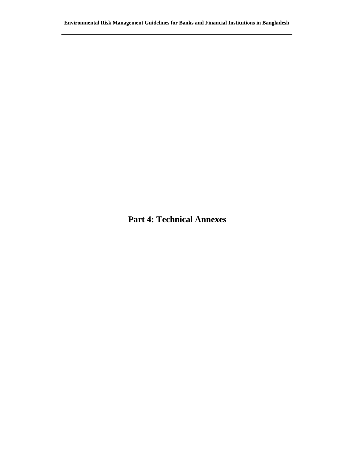**Part 4: Technical Annexes**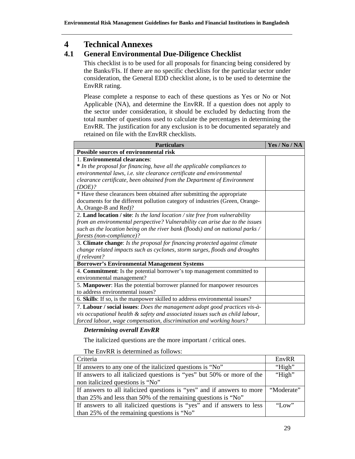## **4 Technical Annexes**

## **4.1 General Environmental Due-Diligence Checklist**

This checklist is to be used for all proposals for financing being considered by the Banks/FIs. If there are no specific checklists for the particular sector under consideration, the General EDD checklist alone, is to be used to determine the EnvRR rating.

Please complete a response to each of these questions as Yes or No or Not Applicable (NA), and determine the EnvRR. If a question does not apply to the sector under consideration, it should be excluded by deducting from the total number of questions used to calculate the percentages in determining the EnvRR. The justification for any exclusion is to be documented separately and retained on file with the EnvRR checklists.

| <b>Particulars</b>                                                            | Yes / No / NA |  |
|-------------------------------------------------------------------------------|---------------|--|
| Possible sources of environmental risk                                        |               |  |
| 1. Environmental clearances:                                                  |               |  |
| * In the proposal for financing, have all the applicable compliances to       |               |  |
| environmental laws, i.e. site clearance certificate and environmental         |               |  |
| clearance certificate, been obtained from the Department of Environment       |               |  |
| (DOE)?                                                                        |               |  |
| * Have these clearances been obtained after submitting the appropriate        |               |  |
| documents for the different pollution category of industries (Green, Orange-  |               |  |
| A, Orange-B and Red)?                                                         |               |  |
| 2. Land location / site: Is the land location / site free from vulnerability  |               |  |
| from an environmental perspective? Vulnerability can arise due to the issues  |               |  |
| such as the location being on the river bank (floods) and on national parks / |               |  |
| forests (non-compliance)?                                                     |               |  |
| 3. Climate change: Is the proposal for financing protected against climate    |               |  |
| change related impacts such as cyclones, storm surges, floods and droughts    |               |  |
| if relevant?                                                                  |               |  |
| <b>Borrower's Environmental Management Systems</b>                            |               |  |
| 4. Commitment: Is the potential borrower's top management committed to        |               |  |
| environmental management?                                                     |               |  |
| 5. Manpower: Has the potential borrower planned for manpower resources        |               |  |
| to address environmental issues?                                              |               |  |
| 6. Skills: If so, is the manpower skilled to address environmental issues?    |               |  |
| 7. Labour / social issues: Does the management adopt good practices vis-à-    |               |  |
| vis occupational health & safety and associated issues such as child labour,  |               |  |
| forced labour, wage compensation, discrimination and working hours?           |               |  |

## *Determining overall EnvRR*

The italicized questions are the more important / critical ones.

| Criteria                                                               | EnvRR        |
|------------------------------------------------------------------------|--------------|
| If answers to any one of the italicized questions is "No"              | "High"       |
| If answers to all italicized questions is "yes" but 50% or more of the | "High"       |
| non italicized questions is "No"                                       |              |
| If answers to all italicized questions is "yes" and if answers to more | "Moderate"   |
| than 25% and less than 50% of the remaining questions is "No"          |              |
| If answers to all italicized questions is "yes" and if answers to less | $\gamma$ Low |
| than 25% of the remaining questions is "No"                            |              |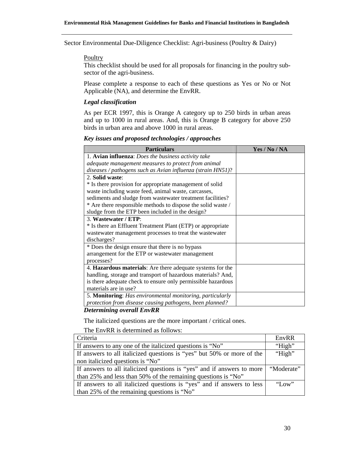Sector Environmental Due-Diligence Checklist: Agri-business (Poultry & Dairy)

#### **Poultry**

This checklist should be used for all proposals for financing in the poultry subsector of the agri-business.

Please complete a response to each of these questions as Yes or No or Not Applicable (NA), and determine the EnvRR.

## *Legal classification*

As per ECR 1997, this is Orange A category up to 250 birds in urban areas and up to 1000 in rural areas. And, this is Orange B category for above 250 birds in urban area and above 1000 in rural areas.

#### *Key issues and proposed technologies / approaches*

| Yes / No / NA |
|---------------|
|               |
|               |
|               |
|               |
|               |
|               |
|               |
|               |
|               |
|               |
|               |
|               |
|               |
|               |
|               |
|               |
|               |
|               |
|               |
|               |
|               |
|               |
|               |

#### *Determining overall EnvRR*

The italicized questions are the more important / critical ones.

| Criteria                                                               | EnvRR      |  |
|------------------------------------------------------------------------|------------|--|
| If answers to any one of the italicized questions is "No"              | "High"     |  |
| If answers to all italicized questions is "yes" but 50% or more of the | "High"     |  |
| non italicized questions is "No"                                       |            |  |
| If answers to all italicized questions is "yes" and if answers to more | "Moderate" |  |
| than 25% and less than 50% of the remaining questions is "No"          |            |  |
| If answers to all italicized questions is "yes" and if answers to less | "Low"      |  |
| than 25% of the remaining questions is "No"                            |            |  |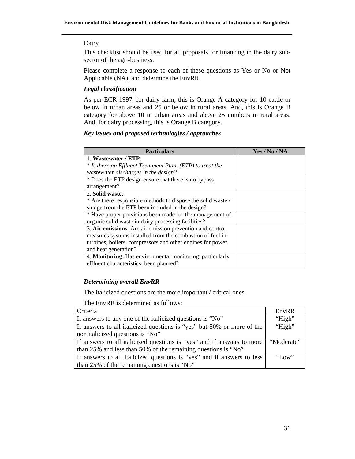#### **Dairy**

This checklist should be used for all proposals for financing in the dairy subsector of the agri-business.

Please complete a response to each of these questions as Yes or No or Not Applicable (NA), and determine the EnvRR.

## *Legal classification*

As per ECR 1997, for dairy farm, this is Orange A category for 10 cattle or below in urban areas and 25 or below in rural areas. And, this is Orange B category for above 10 in urban areas and above 25 numbers in rural areas. And, for dairy processing, this is Orange B category.

#### *Key issues and proposed technologies / approaches*

| <b>Particulars</b>                                           | Yes / No / NA |
|--------------------------------------------------------------|---------------|
| 1. Wastewater / ETP:                                         |               |
| * Is there an Effluent Treatment Plant (ETP) to treat the    |               |
| wastewater discharges in the design?                         |               |
| * Does the ETP design ensure that there is no bypass         |               |
| arrangement?                                                 |               |
| 2. Solid waste:                                              |               |
| * Are there responsible methods to dispose the solid waste / |               |
| sludge from the ETP been included in the design?             |               |
| * Have proper provisions been made for the management of     |               |
| organic solid waste in dairy processing facilities?          |               |
| 3. Air emissions: Are air emission prevention and control    |               |
| measures systems installed from the combustion of fuel in    |               |
| turbines, boilers, compressors and other engines for power   |               |
| and heat generation?                                         |               |
| 4. Monitoring: Has environmental monitoring, particularly    |               |
| effluent characteristics, been planned?                      |               |

#### *Determining overall EnvRR*

The italicized questions are the more important / critical ones.

| Criteria                                                               | EnvRR        |
|------------------------------------------------------------------------|--------------|
| If answers to any one of the italicized questions is "No"              | "High"       |
| If answers to all italicized questions is "yes" but 50% or more of the | "High"       |
| non italicized questions is "No"                                       |              |
| If answers to all italicized questions is "yes" and if answers to more | "Moderate"   |
| than 25% and less than 50% of the remaining questions is "No"          |              |
| If answers to all italicized questions is "yes" and if answers to less | $\gamma$ Low |
| than 25% of the remaining questions is "No"                            |              |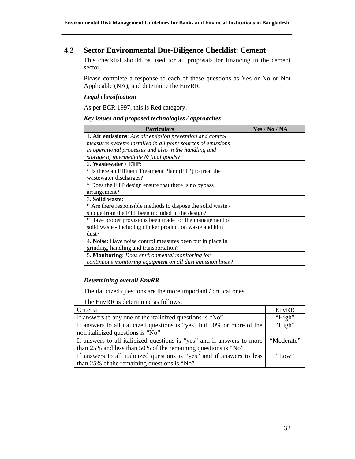## **4.2 Sector Environmental Due-Diligence Checklist: Cement**

This checklist should be used for all proposals for financing in the cement sector.

Please complete a response to each of these questions as Yes or No or Not Applicable (NA), and determine the EnvRR.

## *Legal classification*

As per ECR 1997, this is Red category.

## *Key issues and proposed technologies / approaches*

| <b>Particulars</b>                                           | Yes / No / NA |
|--------------------------------------------------------------|---------------|
| 1. Air emissions: Are air emission prevention and control    |               |
| measures systems installed in all point sources of emissions |               |
| in operational processes and also in the handling and        |               |
| storage of intermediate & final goods?                       |               |
| 2. Wastewater / ETP:                                         |               |
| * Is there an Effluent Treatment Plant (ETP) to treat the    |               |
| wastewater discharges?                                       |               |
| * Does the ETP design ensure that there is no bypass         |               |
| arrangement?                                                 |               |
| 3. Solid waste:                                              |               |
| * Are there responsible methods to dispose the solid waste / |               |
| sludge from the ETP been included in the design?             |               |
| * Have proper provisions been made for the management of     |               |
| solid waste - including clinker production waste and kiln    |               |
| dust?                                                        |               |
| 4. Noise: Have noise control measures been put in place in   |               |
| grinding, handling and transportation?                       |               |
| 5. Monitoring: Does environmental monitoring for             |               |
| continuous monitoring equipment on all dust emission lines?  |               |

## *Determining overall EnvRR*

The italicized questions are the more important / critical ones.

| Criteria                                                               | EnvRR        |
|------------------------------------------------------------------------|--------------|
| If answers to any one of the italicized questions is "No"              | "High"       |
| If answers to all italicized questions is "yes" but 50% or more of the | "High"       |
| non italicized questions is "No"                                       |              |
| If answers to all italicized questions is "yes" and if answers to more | "Moderate"   |
| than 25% and less than 50% of the remaining questions is "No"          |              |
| If answers to all italicized questions is "yes" and if answers to less | $\gamma$ Low |
| than 25% of the remaining questions is "No"                            |              |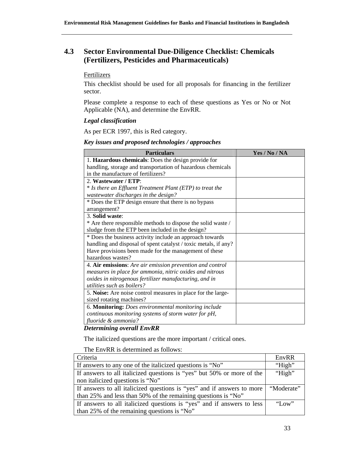## **4.3 Sector Environmental Due-Diligence Checklist: Chemicals (Fertilizers, Pesticides and Pharmaceuticals)**

## **Fertilizers**

This checklist should be used for all proposals for financing in the fertilizer sector.

Please complete a response to each of these questions as Yes or No or Not Applicable (NA), and determine the EnvRR.

## *Legal classification*

As per ECR 1997, this is Red category.

## *Key issues and proposed technologies / approaches*

| <b>Particulars</b>                                              | Yes / No / NA |
|-----------------------------------------------------------------|---------------|
| 1. Hazardous chemicals: Does the design provide for             |               |
| handling, storage and transportation of hazardous chemicals     |               |
| in the manufacture of fertilizers?                              |               |
| 2. Wastewater / ETP:                                            |               |
| * Is there an Effluent Treatment Plant (ETP) to treat the       |               |
| wastewater discharges in the design?                            |               |
| * Does the ETP design ensure that there is no bypass            |               |
| arrangement?                                                    |               |
| 3. Solid waste:                                                 |               |
| * Are there responsible methods to dispose the solid waste /    |               |
| sludge from the ETP been included in the design?                |               |
| * Does the business activity include an approach towards        |               |
| handling and disposal of spent catalyst / toxic metals, if any? |               |
| Have provisions been made for the management of these           |               |
| hazardous wastes?                                               |               |
| 4. Air emissions: Are air emission prevention and control       |               |
| measures in place for ammonia, nitric oxides and nitrous        |               |
| oxides in nitrogenous fertilizer manufacturing, and in          |               |
| utilities such as boilers?                                      |               |
| 5. Noise: Are noise control measures in place for the large-    |               |
| sized rotating machines?                                        |               |
| 6. Monitoring: Does environmental monitoring include            |               |
| continuous monitoring systems of storm water for pH,            |               |
| fluoride & ammonia?                                             |               |

## *Determining overall EnvRR*

The italicized questions are the more important / critical ones.

| Criteria                                                               | EnvRR        |
|------------------------------------------------------------------------|--------------|
| If answers to any one of the italicized questions is "No"              | "High"       |
| If answers to all italicized questions is "yes" but 50% or more of the | "High"       |
| non italicized questions is "No"                                       |              |
| If answers to all italicized questions is "yes" and if answers to more | "Moderate"   |
| than 25% and less than 50% of the remaining questions is "No"          |              |
| If answers to all italicized questions is "yes" and if answers to less | $\gamma$ Low |
| than 25% of the remaining questions is "No"                            |              |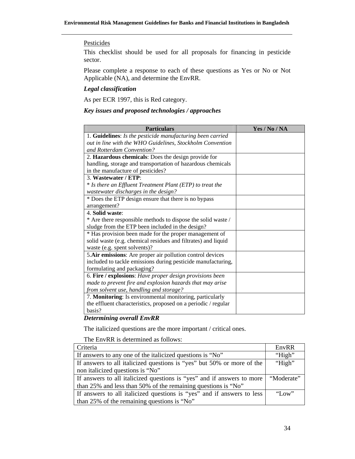## **Pesticides**

This checklist should be used for all proposals for financing in pesticide sector.

Please complete a response to each of these questions as Yes or No or Not Applicable (NA), and determine the EnvRR.

## *Legal classification*

As per ECR 1997, this is Red category.

## *Key issues and proposed technologies / approaches*

| <b>Particulars</b>                                             | Yes / No / NA |
|----------------------------------------------------------------|---------------|
| 1. Guidelines: Is the pesticide manufacturing been carried     |               |
| out in line with the WHO Guidelines, Stockholm Convention      |               |
| and Rotterdam Convention?                                      |               |
| 2. Hazardous chemicals: Does the design provide for            |               |
| handling, storage and transportation of hazardous chemicals    |               |
| in the manufacture of pesticides?                              |               |
| 3. Wastewater / ETP:                                           |               |
| * Is there an Effluent Treatment Plant (ETP) to treat the      |               |
| wastewater discharges in the design?                           |               |
| * Does the ETP design ensure that there is no bypass           |               |
| arrangement?                                                   |               |
| 4. Solid waste:                                                |               |
| * Are there responsible methods to dispose the solid waste /   |               |
| sludge from the ETP been included in the design?               |               |
| * Has provision been made for the proper management of         |               |
| solid waste (e.g. chemical residues and filtrates) and liquid  |               |
| waste (e.g. spent solvents)?                                   |               |
| 5. Air emissions: Are proper air pollution control devices     |               |
| included to tackle emissions during pesticide manufacturing,   |               |
| formulating and packaging?                                     |               |
| 6. Fire / explosions: Have proper design provisions been       |               |
| made to prevent fire and explosion hazards that may arise      |               |
| from solvent use, handling and storage?                        |               |
| 7. Monitoring: Is environmental monitoring, particularly       |               |
| the effluent characteristics, proposed on a periodic / regular |               |
| basis?                                                         |               |

#### *Determining overall EnvRR*

The italicized questions are the more important / critical ones.

| Criteria                                                               | EnvRR      |
|------------------------------------------------------------------------|------------|
| If answers to any one of the italicized questions is "No"              | "High"     |
| If answers to all italicized questions is "yes" but 50% or more of the | "High"     |
| non italicized questions is "No"                                       |            |
| If answers to all italicized questions is "yes" and if answers to more | "Moderate" |
| than 25% and less than 50% of the remaining questions is "No"          |            |
| If answers to all italicized questions is "yes" and if answers to less | "Low"      |
| than 25% of the remaining questions is "No"                            |            |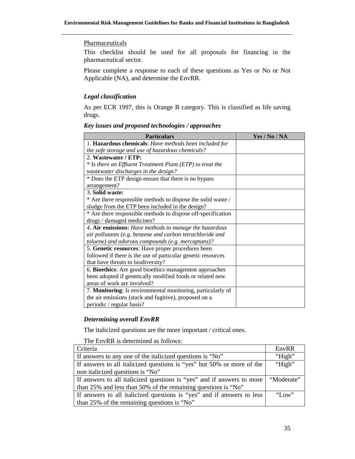## **Pharmaceuticals**

This checklist should be used for all proposals for financing in the pharmaceutical sector.

Please complete a response to each of these questions as Yes or No or Not Applicable (NA), and determine the EnvRR.

## *Legal classification*

As per ECR 1997, this is Orange B category. This is classified as life saving drugs.

## Particulars **Particulars Particulars Particulars Particulars Particulars Particulars Particulars Particulars Particulars Particulars Particulars Particulars Particulars Particulars Particulars** 1. **Hazardous chemicals**: *Have methods been included for the safe storage and use of hazardous chemicals?* 2. **Wastewater / ETP:** \* *Is there an Effluent Treatment Plant (ETP) to treat the wastewater discharges in the design?* \* Does the ETP design ensure that there is no bypass arrangement? 3. **Solid waste:** \* Are there responsible methods to dispose the solid waste / sludge from the ETP been included in the design? \* Are there responsible methods to dispose off-specification drugs / damaged medicines? 4. **Air emissions:** *Have methods to manage the hazardous air pollutants (e.g. benzene and carbon tetrachloride and toluene) and odorous compounds (e.g. mercaptans)?* 5. **Genetic resources**: Have proper procedures been followed if there is the use of particular genetic resources that have threats to biodiversity? 6. **Bioethics**: Are good bioethics management approaches

#### *Key issues and proposed technologies / approaches*

been adopted if genetically modified foods or related new areas of work are involved? 7. **Monitoring**: Is environmental monitoring, particularly of the air emissions (stack and fugitive), proposed on a periodic / regular basis?

## *Determining overall EnvRR*

The italicized questions are the more important / critical ones.

| Criteria                                                               | EnvRR        |
|------------------------------------------------------------------------|--------------|
| If answers to any one of the italicized questions is "No"              | "High"       |
| If answers to all italicized questions is "yes" but 50% or more of the | "High"       |
| non italicized questions is "No"                                       |              |
| If answers to all italicized questions is "yes" and if answers to more | "Moderate"   |
| than 25% and less than 50% of the remaining questions is "No"          |              |
| If answers to all italicized questions is "yes" and if answers to less | $\gamma$ Low |
| than 25% of the remaining questions is "No"                            |              |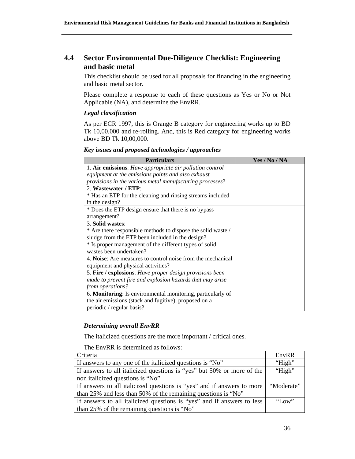## **4.4 Sector Environmental Due-Diligence Checklist: Engineering and basic metal**

This checklist should be used for all proposals for financing in the engineering and basic metal sector.

Please complete a response to each of these questions as Yes or No or Not Applicable (NA), and determine the EnvRR.

## *Legal classification*

As per ECR 1997, this is Orange B category for engineering works up to BD Tk 10,00,000 and re-rolling. And, this is Red category for engineering works above BD Tk 10,00,000.

#### *Key issues and proposed technologies / approaches*

| <b>Particulars</b>                                           | Yes / No / NA |
|--------------------------------------------------------------|---------------|
| 1. Air emissions: Have appropriate air pollution control     |               |
| equipment at the emissions points and also exhaust           |               |
| provisions in the various metal manufacturing processes?     |               |
| 2. Wastewater / ETP:                                         |               |
| * Has an ETP for the cleaning and rinsing streams included   |               |
| in the design?                                               |               |
| * Does the ETP design ensure that there is no bypass         |               |
| arrangement?                                                 |               |
| 3. Solid wastes:                                             |               |
| * Are there responsible methods to dispose the solid waste / |               |
| sludge from the ETP been included in the design?             |               |
| * Is proper management of the different types of solid       |               |
| wastes been undertaken?                                      |               |
| 4. Noise: Are measures to control noise from the mechanical  |               |
| equipment and physical activities?                           |               |
| 5. Fire / explosions: Have proper design provisions been     |               |
| made to prevent fire and explosion hazards that may arise    |               |
| from operations?                                             |               |
| 6. Monitoring: Is environmental monitoring, particularly of  |               |
| the air emissions (stack and fugitive), proposed on a        |               |
| periodic / regular basis?                                    |               |

## *Determining overall EnvRR*

The italicized questions are the more important / critical ones.

| Criteria                                                               | EnvRR      |
|------------------------------------------------------------------------|------------|
| If answers to any one of the italicized questions is "No"              | "High"     |
| If answers to all italicized questions is "yes" but 50% or more of the | "High"     |
| non italicized questions is "No"                                       |            |
| If answers to all italicized questions is "yes" and if answers to more | "Moderate" |
| than 25% and less than 50% of the remaining questions is "No"          |            |
| If answers to all italicized questions is "yes" and if answers to less | "Low"      |
| than 25% of the remaining questions is "No"                            |            |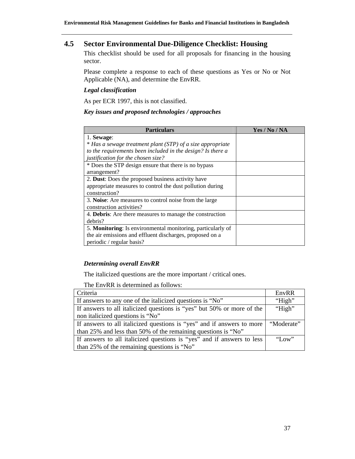## **4.5 Sector Environmental Due-Diligence Checklist: Housing**

This checklist should be used for all proposals for financing in the housing sector.

Please complete a response to each of these questions as Yes or No or Not Applicable (NA), and determine the EnvRR.

## *Legal classification*

As per ECR 1997, this is not classified.

## *Key issues and proposed technologies / approaches*

| <b>Particulars</b>                                              | Yes / No / NA |
|-----------------------------------------------------------------|---------------|
| 1. Sewage:                                                      |               |
| * Has a sewage treatment plant (STP) of a size appropriate      |               |
| to the requirements been included in the design? Is there a     |               |
| justification for the chosen size?                              |               |
| * Does the STP design ensure that there is no bypass            |               |
| arrangement?                                                    |               |
| 2. Dust: Does the proposed business activity have               |               |
| appropriate measures to control the dust pollution during       |               |
| construction?                                                   |               |
| 3. Noise: Are measures to control noise from the large          |               |
| construction activities?                                        |               |
| 4. <b>Debris:</b> Are there measures to manage the construction |               |
| debris?                                                         |               |
| 5. Monitoring: Is environmental monitoring, particularly of     |               |
| the air emissions and effluent discharges, proposed on a        |               |
| periodic / regular basis?                                       |               |

## *Determining overall EnvRR*

The italicized questions are the more important / critical ones.

| Criteria                                                               | EnvRR      |
|------------------------------------------------------------------------|------------|
| If answers to any one of the italicized questions is "No"              | "High"     |
| If answers to all italicized questions is "yes" but 50% or more of the | "High"     |
| non italicized questions is "No"                                       |            |
| If answers to all italicized questions is "yes" and if answers to more | "Moderate" |
| than 25% and less than 50% of the remaining questions is "No"          |            |
| If answers to all italicized questions is "yes" and if answers to less | "Low"      |
| than 25% of the remaining questions is "No"                            |            |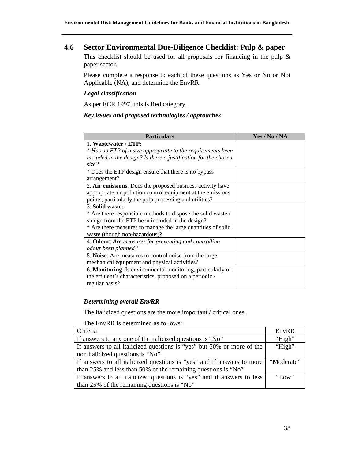## **4.6 Sector Environmental Due-Diligence Checklist: Pulp & paper**

This checklist should be used for all proposals for financing in the pulp  $\&$ paper sector.

Please complete a response to each of these questions as Yes or No or Not Applicable (NA), and determine the EnvRR.

#### *Legal classification*

As per ECR 1997, this is Red category.

## *Key issues and proposed technologies / approaches*

| <b>Particulars</b>                                              | Yes / No / NA |
|-----------------------------------------------------------------|---------------|
| 1. Wastewater / ETP:                                            |               |
| * Has an ETP of a size appropriate to the requirements been     |               |
| included in the design? Is there a justification for the chosen |               |
| size?                                                           |               |
| * Does the ETP design ensure that there is no bypass            |               |
| arrangement?                                                    |               |
| 2. Air emissions: Does the proposed business activity have      |               |
| appropriate air pollution control equipment at the emissions    |               |
| points, particularly the pulp processing and utilities?         |               |
| 3. Solid waste:                                                 |               |
| * Are there responsible methods to dispose the solid waste /    |               |
| sludge from the ETP been included in the design?                |               |
| * Are there measures to manage the large quantities of solid    |               |
| waste (though non-hazardous)?                                   |               |
| 4. Odour: Are measures for preventing and controlling           |               |
| odour been planned?                                             |               |
| 5. Noise: Are measures to control noise from the large          |               |
| mechanical equipment and physical activities?                   |               |
| 6. Monitoring: Is environmental monitoring, particularly of     |               |
| the effluent's characteristics, proposed on a periodic /        |               |
| regular basis?                                                  |               |

## *Determining overall EnvRR*

The italicized questions are the more important / critical ones.

| Criteria                                                               | EnvRR      |
|------------------------------------------------------------------------|------------|
| If answers to any one of the italicized questions is "No"              | "High"     |
| If answers to all italicized questions is "yes" but 50% or more of the | "High"     |
| non italicized questions is "No"                                       |            |
|                                                                        |            |
| If answers to all italicized questions is "yes" and if answers to more | "Moderate" |
| than 25% and less than 50% of the remaining questions is "No"          |            |
| If answers to all italicized questions is "yes" and if answers to less | "Low"      |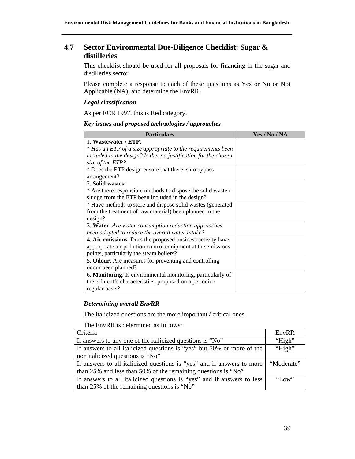## **4.7 Sector Environmental Due-Diligence Checklist: Sugar & distilleries**

This checklist should be used for all proposals for financing in the sugar and distilleries sector.

Please complete a response to each of these questions as Yes or No or Not Applicable (NA), and determine the EnvRR.

#### *Legal classification*

As per ECR 1997, this is Red category.

## *Key issues and proposed technologies / approaches*

| <b>Particulars</b>                                              | Yes / No / NA |
|-----------------------------------------------------------------|---------------|
| 1. Wastewater / ETP:                                            |               |
| * Has an ETP of a size appropriate to the requirements been     |               |
| included in the design? Is there a justification for the chosen |               |
| size of the ETP?                                                |               |
| * Does the ETP design ensure that there is no bypass            |               |
| arrangement?                                                    |               |
| 2. Solid wastes:                                                |               |
| * Are there responsible methods to dispose the solid waste /    |               |
| sludge from the ETP been included in the design?                |               |
| * Have methods to store and dispose solid wastes (generated     |               |
| from the treatment of raw material) been planned in the         |               |
| design?                                                         |               |
| 3. Water: Are water consumption reduction approaches            |               |
| been adopted to reduce the overall water intake?                |               |
| 4. Air emissions: Does the proposed business activity have      |               |
| appropriate air pollution control equipment at the emissions    |               |
| points, particularly the steam boilers?                         |               |
| 5. Odour: Are measures for preventing and controlling           |               |
| odour been planned?                                             |               |
| 6. Monitoring: Is environmental monitoring, particularly of     |               |
| the effluent's characteristics, proposed on a periodic /        |               |
| regular basis?                                                  |               |

## *Determining overall EnvRR*

The italicized questions are the more important / critical ones.

| Criteria                                                               | EnvRR      |
|------------------------------------------------------------------------|------------|
| If answers to any one of the italicized questions is "No"              | "High"     |
| If answers to all italicized questions is "yes" but 50% or more of the | "High"     |
| non italicized questions is "No"                                       |            |
|                                                                        |            |
| If answers to all italicized questions is "yes" and if answers to more | "Moderate" |
| than 25% and less than 50% of the remaining questions is "No"          |            |
| If answers to all italicized questions is "yes" and if answers to less | "Low"      |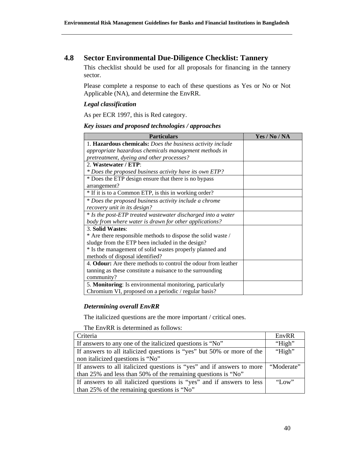## **4.8 Sector Environmental Due-Diligence Checklist: Tannery**

This checklist should be used for all proposals for financing in the tannery sector.

Please complete a response to each of these questions as Yes or No or Not Applicable (NA), and determine the EnvRR.

## *Legal classification*

As per ECR 1997, this is Red category.

## *Key issues and proposed technologies / approaches*

| <b>Particulars</b>                                                   | Yes / No / NA |
|----------------------------------------------------------------------|---------------|
| 1. Hazardous chemicals: Does the business activity include           |               |
| appropriate hazardous chemicals management methods in                |               |
| pretreatment, dyeing and other processes?                            |               |
| 2. Wastewater / ETP:                                                 |               |
| * Does the proposed business activity have its own ETP?              |               |
| * Does the ETP design ensure that there is no bypass                 |               |
| arrangement?                                                         |               |
| * If it is to a Common ETP, is this in working order?                |               |
| * Does the proposed business activity include a chrome               |               |
| recovery unit in its design?                                         |               |
| * Is the post-ETP treated wastewater discharged into a water         |               |
| body from where water is drawn for other applications?               |               |
| 3. Solid Wastes:                                                     |               |
| * Are there responsible methods to dispose the solid waste /         |               |
| sludge from the ETP been included in the design?                     |               |
| * Is the management of solid wastes properly planned and             |               |
| methods of disposal identified?                                      |               |
| 4. <b>Odour:</b> Are there methods to control the odour from leather |               |
| tanning as these constitute a nuisance to the surrounding            |               |
| community?                                                           |               |
| 5. Monitoring: Is environmental monitoring, particularly             |               |
| Chromium VI, proposed on a periodic / regular basis?                 |               |

## *Determining overall EnvRR*

The italicized questions are the more important / critical ones.

| Criteria                                                               | EnvRR      |
|------------------------------------------------------------------------|------------|
| If answers to any one of the italicized questions is "No"              | "High"     |
| If answers to all italicized questions is "yes" but 50% or more of the | "High"     |
| non italicized questions is "No"                                       |            |
| If answers to all italicized questions is "yes" and if answers to more | "Moderate" |
| than 25% and less than 50% of the remaining questions is "No"          |            |
| If answers to all italicized questions is "yes" and if answers to less | "Low"      |
| than 25% of the remaining questions is "No"                            |            |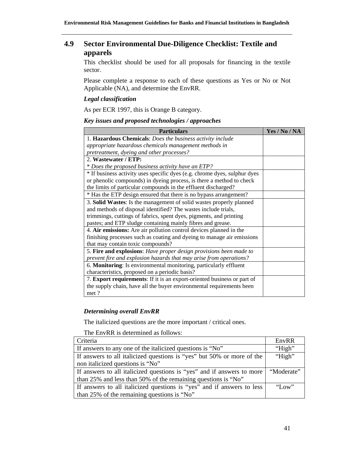## **4.9 Sector Environmental Due-Diligence Checklist: Textile and apparels**

This checklist should be used for all proposals for financing in the textile sector.

Please complete a response to each of these questions as Yes or No or Not Applicable (NA), and determine the EnvRR.

#### *Legal classification*

As per ECR 1997, this is Orange B category.

## *Key issues and proposed technologies / approaches*

| <b>Particulars</b>                                                        | Yes / No / NA |
|---------------------------------------------------------------------------|---------------|
| 1. Hazardous Chemicals: Does the business activity include                |               |
| appropriate hazardous chemicals management methods in                     |               |
| pretreatment, dyeing and other processes?                                 |               |
| 2. Wastewater / ETP:                                                      |               |
| * Does the proposed business activity have an ETP?                        |               |
| * If business activity uses specific dyes (e.g. chrome dyes, sulphur dyes |               |
| or phenolic compounds) in dyeing process, is there a method to check      |               |
| the limits of particular compounds in the effluent discharged?            |               |
| * Has the ETP design ensured that there is no bypass arrangement?         |               |
| 3. Solid Wastes: Is the management of solid wastes properly planned       |               |
| and methods of disposal identified? The wastes include trials,            |               |
| trimmings, cuttings of fabrics, spent dyes, pigments, and printing        |               |
| pastes; and ETP sludge containing mainly fibres and grease.               |               |
| 4. Air emissions: Are air pollution control devices planned in the        |               |
| finishing processes such as coating and dyeing to manage air emissions    |               |
| that may contain toxic compounds?                                         |               |
| 5. Fire and explosions: Have proper design provisions been made to        |               |
| prevent fire and explosion hazards that may arise from operations?        |               |
| 6. Monitoring: Is environmental monitoring, particularly effluent         |               |
| characteristics, proposed on a periodic basis?                            |               |
| 7. Export requirements: If it is an export-oriented business or part of   |               |
| the supply chain, have all the buyer environmental requirements been      |               |
| met ?                                                                     |               |

## *Determining overall EnvRR*

The italicized questions are the more important / critical ones.

| Criteria                                                               | EnvRR      |
|------------------------------------------------------------------------|------------|
| If answers to any one of the italicized questions is "No"              | "High"     |
| If answers to all italicized questions is "yes" but 50% or more of the | "High"     |
| non italicized questions is "No"                                       |            |
| If answers to all italicized questions is "yes" and if answers to more | "Moderate" |
| than 25% and less than 50% of the remaining questions is "No"          |            |
| If answers to all italicized questions is "yes" and if answers to less | "Low"      |
| than 25% of the remaining questions is "No"                            |            |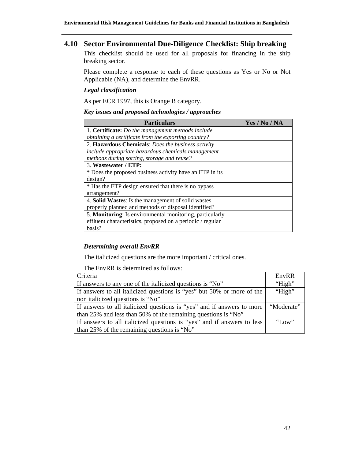## **4.10 Sector Environmental Due-Diligence Checklist: Ship breaking**

This checklist should be used for all proposals for financing in the ship breaking sector.

Please complete a response to each of these questions as Yes or No or Not Applicable (NA), and determine the EnvRR.

#### *Legal classification*

As per ECR 1997, this is Orange B category.

#### *Key issues and proposed technologies / approaches*

| <b>Particulars</b>                                         | Yes / No / NA |
|------------------------------------------------------------|---------------|
| 1. Certificate: Do the management methods include          |               |
| obtaining a certificate from the exporting country?        |               |
| 2. Hazardous Chemicals: Does the business activity         |               |
| include appropriate hazardous chemicals management         |               |
| methods during sorting, storage and reuse?                 |               |
| 3. Wastewater / ETP:                                       |               |
| * Does the proposed business activity have an ETP in its   |               |
| design?                                                    |               |
| * Has the ETP design ensured that there is no bypass       |               |
| arrangement?                                               |               |
| 4. Solid Wastes: Is the management of solid wastes         |               |
| properly planned and methods of disposal identified?       |               |
| 5. Monitoring: Is environmental monitoring, particularly   |               |
| effluent characteristics, proposed on a periodic / regular |               |
| basis?                                                     |               |

#### *Determining overall EnvRR*

The italicized questions are the more important / critical ones.

| Criteria                                                               | EnvRR        |
|------------------------------------------------------------------------|--------------|
| If answers to any one of the italicized questions is "No"              | "High"       |
| If answers to all italicized questions is "yes" but 50% or more of the | "High"       |
| non italicized questions is "No"                                       |              |
| If answers to all italicized questions is "yes" and if answers to more | "Moderate"   |
| than 25% and less than 50% of the remaining questions is "No"          |              |
| If answers to all italicized questions is "yes" and if answers to less | $\gamma$ Low |
| than 25% of the remaining questions is "No"                            |              |